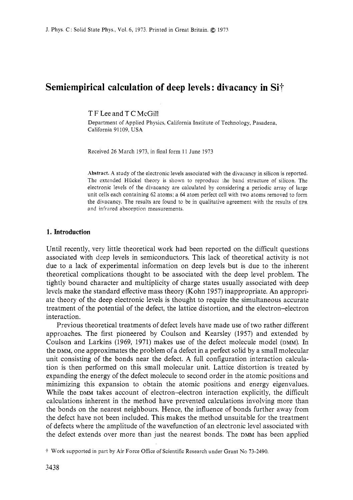# **Semiempirical calculation of deep levels** : **divacancy in Sit**

T F Lee and T C McGill

Department of Applied Physics, California Institute of Technology, Pasadena, California 91109. USA

Received *26* March 1973. in final form 11 June 1973

**Abstract.** A study of the electronic levels associated with the divacancy in silicon is reported. The extended Hiickel theory is shown to reproduce the band structure of silicon. The electronic levels of the divacancy are calculated by considering a periodic array of large unit cells each containing *62* atoms: a *64* atom perfect cell with two atoms removed to form the divacancy. The results are found to be in qualitative agreement with the results of EPR and infrared absorption measurements.

## **1. Introduction**

Until recently, very little theoretical work had been reported on the difficult questions associated with deep levels in semiconductors. This lack of theoretical activity is not due to a lack of experimental information on deep levels but is due to the inherent theoretical complications thought to be associated with the deep level problem. The tightly bound character and multiplicity of charge states usually associated with deep levels make the standard effective mass theory (Kohn 1957) inappropriate. An appropriate theory of the deep electronic levels is thought to require the simultaneous accurate treatment of the potential of the defect, the lattice distortion, and the electron-electron interaction.

Previous theoretical treatments of defect levels have made use of two rather different approaches. The first pioneered by Coulson and Kearsley (1957) and extended by Coulson and Larkins (1969, 1971) makes use of the defect molecule model (DMM). In the DMM, one approximates the problem of a defect in a perfect solid by a small molecular unit consisting of the bonds near the defect. A full configuration interaction calculation is then performed on this small molecular unit. Lattice distortion is treated by expanding the energy of the defect molecule to second order in the atomic positions and minimizing this expansion to obtain the atomic positions and energy eigenvalues. While the DMM takes account of electron-electron interaction explicitly, the difficult calculations inherent in the method have prevented calculations involving more than the bonds on the nearest neighbours. Hence, the influence of bonds further away from the defect have not been included. This makes the method unsuitable for the treatment of defects where the amplitude of the wavefunction of an electronic level associated with the defect extends over more than just the nearest bonds. The DMM has been applied

*<sup>.</sup>I* Work supported in part by Air Force Office of Scientific Research under Grant No **73-2490.**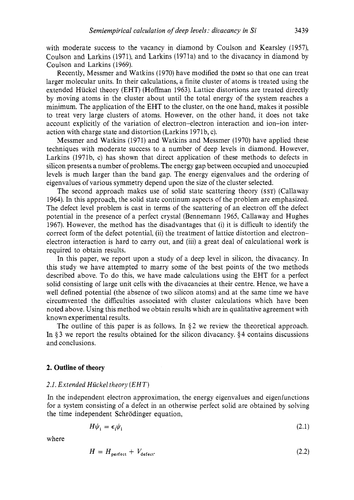with moderate success to the vacancy in diamond by Coulson and Kearsley (1957), Coulson and Larkins (1971) and Larkins (1971a) and to the divacancy in diamond by Coulson and Larkins (1969).

Recently, Messmer and Watkins (1970) have modified the DMM so that one can treat larger molecular units. In their calculations, a finite cluster of atoms is treated using the extended Hiickel theory (EHT) (Hoffman 1963). Lattice distortions are treated directly by moving atoms in the cluster about until the total energy of the system reaches a minimum. The application of the EHT to the cluster, on the one hand, makes it possible to treat very large clusters of atoms. However, on the other hand, it does not take account explicitly of the variation of electron-electron interaction and ion-ion interaction with charge state and distortion (Larkins 1971b, c).

Messmer and Watkins (1971) and Watkins and Messmer (1970) have applied these techniques with moderate success to a number of deep levels in diamond. However, Larkins (1971b, c) has shown that direct application of these methods to defects in silicon presents a number of problems. The energy gap between occupied and unoccupied levels is much larger than the band gap. The energy eigenvalues and the ordering of eigenvalues of various symmetry depend upon the size of the cluster selected.

The second approach makes use of solid state scattering theory **(SST)** (Callaway 1964). In this approach, the solid state continum aspects of the problem are emphasized. The defect level problem is cast in terms of the scattering of an electron off the defect potential in the presence of a perfect crystal (Bennemann 1965, Callaway and Hughes 1967). However, the method has the disadvantages that (i) it is difficult to identify the correct form of the defect potential, (ii) the treatment of lattice distortion and electronelectron interaction is hard to carry out, and (iii) a great deal of calculational work is required to obtain results.

In this paper, we report upon a study of a deep level in silicon, the divacancy. In this study we have attempted to marry some of the best points of the two methods described above. To do this, we have made calculations using the EHT for a perfect solid consisting of large unit cells with the divacancies at their centre. Hence, we have a well defined potential (the absence of two silicon atoms) and at the same time we have circumvented the difficulties associated with cluster calculations which have been noted above. Using this method we obtain results which are in qualitative agreement with known experimental results.

The outline of this paper is as follows. In  $\S$ 2 we review the theoretical approach. In *5* 3 we report the results obtained for the silicon divacancy. \$4 contains discussions and conclusions.

## **2. Outline of theory**

#### *2.1. Extended Hiickel theory (EHT)*

In the independent electron approximation, the energy eigenvalues and eigenfunctions for a system consisting of a defect in an otherwise perfect solid are obtained by solving the time independent Schrodinger equation,

$$
H\psi_i = \epsilon_i \psi_i \tag{2.1}
$$

where

$$
H = H_{\text{perfect}} + V_{\text{defect}}.\tag{2.2}
$$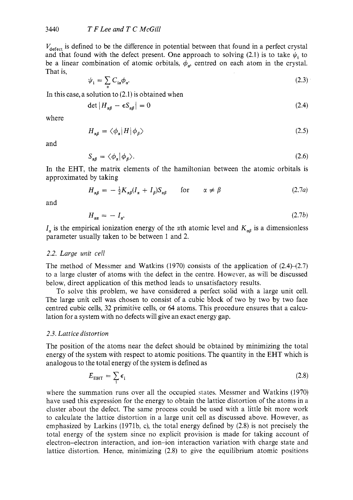$V_{\text{defect}}$  is defined to be the difference in potential between that found in a perfect crystal and that found with the defect present. One approach to solving (2.1) is to take  $\psi_i$  to be a linear combination of atomic orbitals,  $\phi_n$  centred on each atom in the crystal. That is,

$$
\psi_{i} = \sum_{\alpha} C_{i\alpha} \phi_{\alpha}.
$$
\n(2.3)

In this case, a solution to (2.1) is obtained when<br>  $det |H_{\alpha\beta} - \epsilon S_{\alpha\beta}| = 0$ 

$$
\det \left| H_{\alpha\beta} - \epsilon S_{\alpha\beta} \right| = 0 \tag{2.4}
$$

where

$$
H_{\alpha\beta} = \langle \phi_{\alpha} | H | \phi_{\beta} \rangle \tag{2.5}
$$

and

$$
S_{\alpha\beta} = \langle \phi_{\alpha} | \phi_{\beta} \rangle. \tag{2.6}
$$

In the EHT, the matrix elements of the hamiltonian between the atomic orbitals is approximated by taking

$$
H_{\alpha\beta} = -\frac{1}{2}K_{\alpha\beta}(I_{\alpha} + I_{\beta})S_{\alpha\beta} \quad \text{for} \quad \alpha \neq \beta \tag{2.7a}
$$

and

$$
H_{\alpha\alpha} = -I_{\alpha}.\tag{2.7b}
$$

 $I_{\alpha}$  is the empirical ionization energy of the  $\alpha$ th atomic level and  $K_{\alpha\beta}$  is a dimensionless parameter usually taken to be between 1 and 2.

## *2.2. Large unit* cell

The method of Messmer and Watkins (1970) consists of the application of  $(2.4)$ – $(2.7)$ to a large cluster of atoms with the defect in the centre. However, as will be discussed below, direct application of this method leads to unsatisfactory results.

To solve this problem, we have considered a perfect solid with a large unit cell. The large unit cell was chosen to consist of a cubic block of two by two by two face centred cubic cells, 32 primitive cells, or *64* atoms. This procedure ensures that a calculation for a system with no defects will give an exact energy gap.

# *2.3. Luttice distortion*

The position of the atoms near the defect should be obtained by minimizing the total energy of the system with respect to atomic positions. The quantity in the EHT which is analogous to the total energy of the system is defined as

$$
E_{\rm EHT} = \sum_{i} \epsilon_{i} \tag{2.8}
$$

where the summation runs over all the occupied states. Messmer and Watkins (1970) have used this expression for the energy to obtain the lattice distortion of the atoms in a cluster about the defect. The same process could be used with a little bit more work to calculate the lattice distortion in a large unit cell as discussed above. However, as emphasized by Larkins (1971b, c), the total energy defined by (2.8) is not precisely the total energy of the system since no explicit provision is made for taking account of electron-electron interaction, and ion-ion interaction variation with charge state and lattice distortion, Hence, minimizing (2.8) to give the equilibrium atomic positions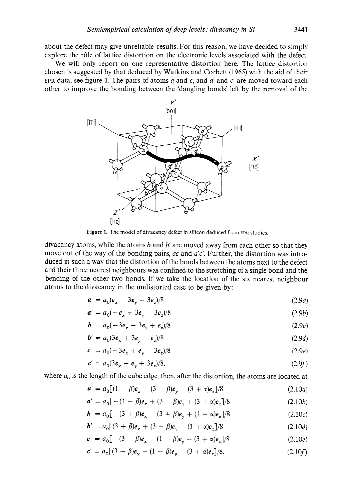about the defect may give unreliable results. For this reason, we have decided to simply explore the rôle of lattice distortion on the electronic levels associated with the defect.

We will only report on one representative distortion here. The lattice distortion chosen is suggested by that deduced by Watkins and Corbett *(1965)* with the aid of their EPR data, see figure *1.* The pairs of atoms a and *c,* and *a'* and c' are moved toward each other to improve the bonding between the 'dangling bonds' left by the removal of the



**Figure** *1.* The model of divacancy defect in silicon deduced from **EPR** studies.

divacancy atoms, while the atoms *b* and *b'* are moved away from each other so that they move out of the way of the bonding pairs, *ac* and *a'c'*. Further, the distortion was introduced in such a way that the distortion of the bonds between the atoms next to the defect and their three nearest neighbours was confined to the stretching of a single bond and the bending of the other two bonds. If we take the location of the six nearest neighbour atoms to the divacancy in the undistorted case to be given by:

$$
a = a_0(e_x - 3e_y - 3e_z)/8
$$
 (2.9a)

$$
a' = a_0(-e_x + 3e_y + 3e_z)/8
$$
 (2.9b)

$$
b = a_0(-3e_x - 3e_y + e_z)/8
$$
 (2.9c)

$$
b' = a_0(3e_x + 3e_y - e_z)/8
$$
 (2.9*d*)

$$
c = a_0(-3e_x + e_y - 3e_z)/8
$$
 (2.9e)

$$
c' = a_0(3e_x - e_y + 3e_z)/8.
$$
 (2.9f)

where  $a_0$  is the length of the cube edge, then, after the distortion, the atoms are located at

$$
a = a_0[(1 - \beta)e_x - (3 - \beta)e_y - (3 + \alpha)e_z]/8
$$
 (2.10*a*)

$$
a' = a_0 \left[ -(1 - \beta)e_x + (3 - \beta)e_y + (3 + \alpha)e_z \right] / 8
$$
 (2.10b)

$$
b = a_0[-(3 + \beta)e_x - (3 + \beta)e_y + (1 + \alpha)e_z]/8 \qquad (2.10c)
$$

$$
b' = a_0 \left[ (3 + \beta)e_x + (3 + \beta)e_y - (1 + \alpha)e_z \right] / 8
$$
 (2.10*d*)

$$
c = a_0[-(3 - \beta)e_x + (1 - \beta)e_y - (3 + \alpha)e_z]/8
$$
 (2.10*e*)

$$
c' = a_0 \left[ (3 - \beta)e_x - (1 - \beta)e_y + (3 + \alpha)e_z \right] / 8.
$$
 (2.10f)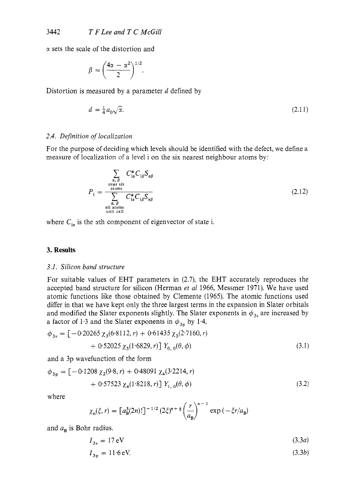$\alpha$  sets the scale of the distortion and

$$
\beta = \left(\frac{4\alpha - \alpha^2}{2}\right)^{1/2}.
$$

Distortion is measured by a parameter  $d$  defined by

$$
d = \frac{1}{4}a_0\sqrt{\alpha}.\tag{2.11}
$$

#### *2.4. Definition of localization*

For the purpose of deciding which levels should be identified with the defect, we define a measure of localization of a level i on the six nearest neighbour atoms by:

$$
P_{\rm i} = \frac{\sum_{\substack{\alpha,\beta\\ \text{over six}\\ \text{atoms} \\ \alpha,\beta}} C_{\rm is}^* C_{\rm i\alpha} C_{\rm i\beta} S_{\alpha\beta}}{\sum_{\substack{\alpha,\beta\\ \text{all atoms} \\ \text{all its cell}}} C_{\rm is}^* C_{\rm i\beta} S_{\alpha\beta}}
$$
(2.12)

where  $C_{i\alpha}$  is the  $\alpha$ th component of eigenvector of state i.

## **3. Results**

#### *3.1. Silicon* band *structure*

For suitable values of EHT parameters in (2.7), the EHT accurately reproduces the accepted band structure for silicon (Herman *et a1* 1966, Messmer 1971). We have used atomic functions like those obtained by Clemente (1965). The atomic functions used differ in that we have kept only the three largest terms in the expansion in Slater orbitals and modified the Slater exponents slightly. The Slater exponents in  $\phi_{3s}$  are increased by a factor of 1.3 and the Slater exponents in  $\phi_{3p}$  by 1.4,

$$
\phi_{3s} = \left[ -0.20265 \ \chi_3(6.8112, r) + 0.61435 \ \chi_3(2.7160, r) + 0.52025 \ \chi_3(1.6829, r) \right] Y_{0, 0}(\theta, \phi)
$$
\n(3.1)

and a 3p wavefunction of the form

$$
\phi_{3p} = [-0.1208 \chi_2(9.8, r) + 0.48091 \chi_4(3.2214, r) + 0.57523 \chi_4(1.8218, r)] Y_{1, 0}(\theta, \phi)
$$
\n(3.2)

where

$$
\chi_{n}(\xi,r) = \left[a_{B}^{3}(2n)!\right]^{-1/2} (2\xi)^{n+\frac{1}{2}} \left(\frac{r}{a_{B}}\right)^{n-1} \exp\left(-\xi r/a_{B}\right)
$$

and  $a_{\rm B}$  is Bohr radius.

$$
I_{3s} = 17 \,\mathrm{eV} \tag{3.3a}
$$

$$
I_{3p} = 11.6 \,\text{eV}.\tag{3.3b}
$$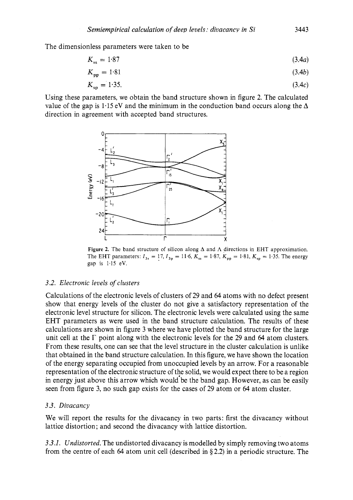The dimensionless parameters were taken to be

$$
K_{ss} = 1.87 \tag{3.4a}
$$

$$
K_{\rm pp} = 1.81\tag{3.4b}
$$

$$
K_{\rm sp} = 1.35. \tag{3.4c}
$$

Using these parameters, we obtain the band structure shown in figure 2. The calculated value of the gap is  $1.15 \text{ eV}$  and the minimum in the conduction band occurs along the  $\Delta$ direction in agreement with accepted band structures.



**Figure 2.** The band structure of silicon along **A** and **A** directions in EHT approximation. The EHT parameters:  $I_{3s} = 17$ ,  $I_{3p} = 11.6$ ,  $K_{ss} = 1.87$ ,  $K_{pp} = 1.81$ ,  $K_{sp} = 1.35$ . The energy gap is 1.15 eV.

### *3.2. Electronic levels of clusters*

Calculations of the electronic levels of clusters of 29 and *64* atoms with no defect present show that energy levels of the cluster do not give a satisfactory representation of the electronic level structure for silicon. The electronic levels were calculated using the same EHT parameters as were used in the band structure calculation. The results of these calculations are shown in figure *3* where we have plotted the band structure for the large unit cell at the  $\Gamma$  point along with the electronic levels for the 29 and 64 atom clusters. From these results, one can see that the level structure in the cluster calculation is unlike that obtained in the band structure calculation. In this figure, we have shown the location of the energy separating occupied from unoccupied levels by an arrow. For a reasonable representation of the electronic structure of tbe solid, we would expect there to be a region in energy just above this arrow which would be the band gap. However, as can be easily seen from figure *3,* no such gap exists for the cases of 29 atom or *64* atom cluster.

### *3.3. Divacancy*

We will report the results for the divacancy in two parts: first the divacancy without lattice distortion; and second the divacancy with lattice distortion.

*3.3.1. Undistorted.* The undistorted divacancy is modelled by simply removing two atoms from the centre of each *64* atom unit cell (described in *5* 2.2) in a periodic structure. The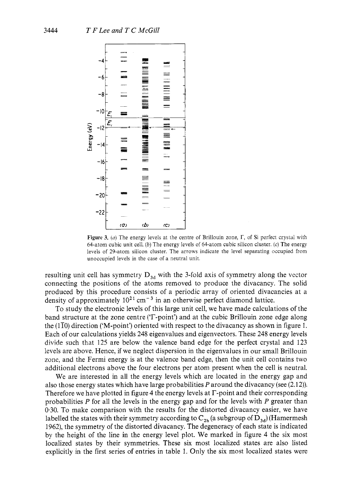

**Figure 3.** (*a*) The energy levels at the centre of Brillouin zone,  $\Gamma$ , of Si perfect crystal with 64-atom cubic unit cell. *(b)* The energy levels of 64-atom cubic silicon cluster. (c) The energy levels of 29-atom silicon cluster. The arrows indicate the level separating occupied from unoccupied levels in the case of a neutral unit.

resulting unit cell has symmetry  $D_{3d}$  with the 3-fold axis of symmetry along the vector connecting the positions of the atoms removed to produce the divacancy. The solid produced by this procedure consists of a periodic array of oriented divacancies at a density of approximately  $10^{21}$  cm<sup>-3</sup> in an otherwise perfect diamond lattice.

To study the electronic levels of this large unit cell, we have made calculations of the band structure at the zone centre (T-point') and at the cubic Brillouin zone edge along the  $(1\bar{1}0)$  direction ('M-point') oriented with respect to the divacancy as shown in figure 1. Each of our calculations yields 248 eigenvalues and eigenvectors. These 248 energy levels divide such that 125 are below the valence band edge for the perfect crystal and 123 levels are above. Hence, if we neglect dispersion in the eigenvalues in our small Brillouin zone, and the Fermi energy is at the valence band edge, then the unit cell contains two additional electrons above the four electrons per atom present when the cell is neutral.

We are interested in all the energy levels which are located in the energy gap and also those energy states which have large probabilities *P* around the divacancy (see (2.12)). Therefore we have plotted in figure 4 the energy levels at  $\Gamma$ -point and their corresponding probabilities *P* for all the levels in the energy gap and for the levels with *P* greater than 0.30. To make comparison with the results for the distorted divacancy easier, we have labelled the states with their symmetry according to  $C_{2h}$  (a subgroup of  $D_{3d}$ ) (Hamermesh 1962), the symmetry of the distorted divacancy. The degeneracy of each state is indicated by the height of the line in the energy level plot. We marked in figure 4 the six most localized states by their symmetries. These six most localized states are also listed explicitly in the first series of entries in table 1. Only the six most localized states were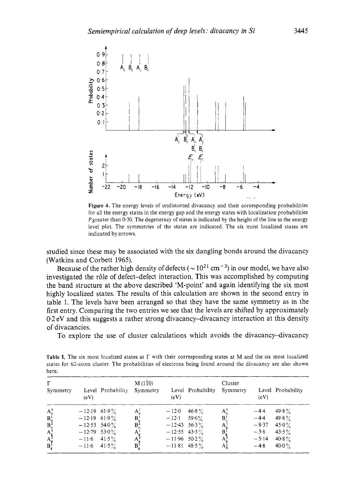

**Figure 4.** The energy levels of undistorted divacancy and their corresponding probabilities for all the energy states in the energy gap and the energy states with localization probabilities Pgreater than 0.30. The degeneracy of states is indicated by the height of the line in the energy level plot. The symmetries of the states are indicated. The six most localized states are indicated by arrows.

studied since these may be associated with the six dangling bonds around the divacancy (Watkins and Corbett 1965).

Because of the rather high density of defects ( $\sim 10^{21}$  cm<sup>-3</sup>) in our model, we have also investigated the r61e of defect-defect interaction. This was accomplished by computing the band structure at the above described 'M-point' and again identifying the six most highly localized states. The results of this calculation are shown in the second entry in table 1. The levels have been arranged so that they have the same symmetry as in the first entry. Comparing the two entries we see that the levels are shifted by approximately 0.2 eV and this suggests a rather strong divacancy-divacancy interaction at this density of divacancies.

To explore the use of cluster calculations which avoids the divacancy-divacancy

| пете.                                                  |                |                   |                            |                |                   |                     |         |                   |  |  |
|--------------------------------------------------------|----------------|-------------------|----------------------------|----------------|-------------------|---------------------|---------|-------------------|--|--|
| Г<br>Symmetry                                          | (eV)           | Level Probability | $M(1\bar{1}0)$<br>Symmetry | (eV)           | Level Probability | Cluster<br>Symmetry | (eV)    | Level Probability |  |  |
|                                                        | $-12.19$ 61.9% |                   | $A_u^1$                    | $-12.0$        | 46.8%             | $A_{\cdot\cdot}^1$  | $-4.4$  | $49.8\%$          |  |  |
| $\begin{array}{c} A_u^1 \\ B_u^1 \\ B_u^2 \end{array}$ | $-12.19$ 61.9% |                   | $B_u^1$<br>$B_u^2$         | $-12.1$        | $59.6\%$          | $B^1_u$             | $-4.4$  | 49.8%             |  |  |
|                                                        | $-12.53$ 54.0% |                   |                            | $-12.43$ 56.3% |                   | $A_e^1$             | $-8.37$ | 45.0 $\%$         |  |  |
| $A^1$                                                  | $-12.79$ 53.0% |                   |                            | $-12.55$ 43.3% |                   | $B^1$               | $-3.8$  | 43.5 $\%$         |  |  |
|                                                        | $-11.6$        | 41.5%             | $A_g^1$<br>$A_g^2$         | $-11.96$ 50.2% |                   | A.                  | $-5.14$ | $40.8\%$          |  |  |
| $A_{g}^2$<br>$B_{g}^2$                                 | $-11.6$ 41.5%  |                   | $B_g^1$                    | $-11.81$ 48.5% |                   | $A_{\rm g}^3$       | $-4.8$  | $40.0\%$          |  |  |

Table 1. The six most localized states at  $\Gamma$  with their corresponding states at M and the six most localized states for 62-atom cluster. The probabilities of electrons being found around the divacancy are also shown here.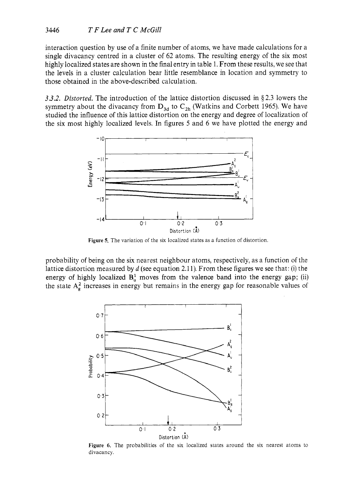interaction question by use of a finite number of atoms, we have made calculations for a single divacancy centred in a cluster of 62 atoms. The resulting energy of the six most highly localized states are shown in the final entry in table 1. From these results, we see that the levels in a cluster calculation bear little resemblance in location and symmetry to those obtained in the above-described calculation.

*3.3.2. Distorted.* The introduction of the lattice distortion discussed in \$2.3 lowers the symmetry about the divacancy from  $D_{3d}$  to  $C_{2h}$  (Watkins and Corbett 1965). We have studied the influence of this lattice distortion on the energy and degree of localization of the six most highly localized levels. In figures *5* and 6 we have plotted the energy and



**Figure** *5.* The variation of the six localized states as a function of distortion.

probability of being on the six nearest neighbour atoms, respectively, as a function of the lattice distortion measured by *d* (see equation 2.1 1). From these figures we see that: (i) the energy of highly localized  $B_u^1$  moves from the valence band into the energy gap; (ii) the state  $A_{\alpha}^2$  increases in energy but remains in the energy gap for reasonable values of



Figure 6. The probabilities of the six localized states around the six nearest atoms to divacancy.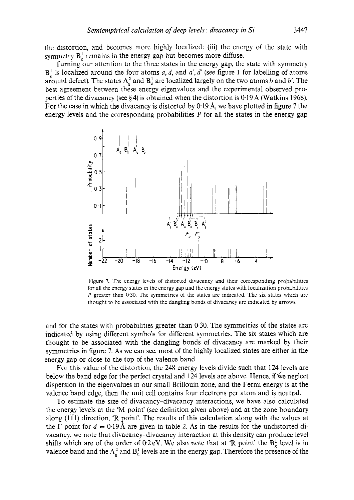the distortion, and becomes more highly localized; (iii) the energy of the state with symmetry  $B_{g}^{1}$  remains in the energy gap but becomes more diffuse.

Turning our attention to the three states in the energy gap, the state with symmetry  $B^1$  is localized around the four atoms *a, d,* and *a', d'* (see figure 1 for labelling of atoms around defect). The states  $A_{\alpha}^2$  and  $B_{\alpha}^1$  are localized largely on the two atoms *b* and *b'*. The best agreement between these energy eigenvalues and the experimental observed properties of the divacancy (see § **4)** is obtained when the distortion is 0.19 **8,** (Watkins 1968). For the case in which the divacancy is distorted by 0.19 A, we have plotted in figure **7** the energy levels and the corresponding probabilities *P* for all the states in the energy gap



**Figure 7.** The energy levels of distorted divacancy and their corresponding probabilities for all the energy states in the energy gap and the energy states with localization probabilities *P* greater than *0.30.* The symmetries of the states are indicated. The six states which are thought to be associated with the dangling bonds of divacancy are indicated by arrows.

and for the states with probabilities greater than 0.30. The symmetries of the states are indicated by using different symbols for different symmetries. The six states which are thought to be associated with the dangling bonds of divacancy are marked by their symmetries in figure **7. As** we can see, most of the highly localized states are either in the energy gap or close to the top of the valence band.

For this value of the distortion, the **248** energy levels divide such that **124** levels are below the band edge for the perfect crystal and **124** levels are above. Hence, if &e neglect dispersion in the eigenvalues in our small Brillouin zone, and the Fermi energy is at the valence band edge, then the unit cell contains four electrons per atom and is neutral.

To estimate the size of divacancy-divacancy interactions, we have also calculated the energy levels at the 'M point' (see definition given above) and at the zone boundary along  $(1\bar{1}1)$  direction, 'R point'. The results of this calculation along with the values at the  $\Gamma$  point for  $d = 0.19$  Å are given in table 2. As in the results for the undistorted divacancy, we note that divacancy-divacancy interaction at this density can produce level shifts which are of the order of  $0.2$  eV. We also note that at 'R point' the  $B^1_g$  level is in valence band and the  $A_e^2$  and  $B_u^1$  levels are in the energy gap. Therefore the presence of the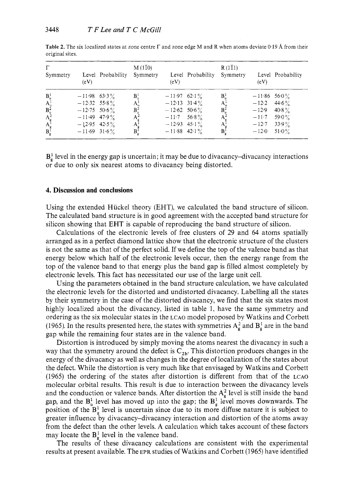| $\Gamma$<br>Symmetry                                                                | (eV)                                                                                                     | Level Probability | $M(1\bar{1}0)$<br>Symmetry                                             | (eV)                                                                                              | Level Probability | $R(1\bar{1}1)$<br>Symmetry                               | (eV)                                                                         | Level Probability                          |
|-------------------------------------------------------------------------------------|----------------------------------------------------------------------------------------------------------|-------------------|------------------------------------------------------------------------|---------------------------------------------------------------------------------------------------|-------------------|----------------------------------------------------------|------------------------------------------------------------------------------|--------------------------------------------|
| $B_n^1$<br>$A_u^1$<br>$B_{\mu}^{\frac{3}{2}}$<br>$A_g^{\bar{1}}$<br>$B_g^{\bar{1}}$ | $-11.98$ 63.3%<br>$-12.32$ 55.8%<br>$-12.75$ 50.6%<br>$-11.49$ 47.9%<br>$-12.95$ 42.5%<br>$-11.69$ 31.6% |                   | $\mathbf{B}_n^1$<br>$A^1_{\mu}$<br>$B_u^2$<br>$A_z^2$<br>A'<br>$B_g^1$ | $-11.97$ 62.1%<br>$-12.13$ 31.4%<br>$-12.62$ 50.6%<br>$-11.7$<br>$-12.93$ 45.1%<br>$-11.88$ 42.1% | $56.8\%$          | $B^1$<br>$A^1_u$<br>$B^2$<br>A'<br>А<br>$\mathbf{B}_a^1$ | $-11.86$ 56 0 %<br>$-12.2$ 44.6%<br>$-12.9$<br>$-11.7$<br>$-12.7$<br>$-12.0$ | $40.8\%$<br>59.0 $\%$<br>$33.9\%$<br>51.0% |

**Table 2.** The six localized states at zone centre  $\Gamma$  and zone edge M and R when atoms deviate 0.19 Å from their original sites.

 $B_{\sigma}^{1}$  level in the energy gap is uncertain; it may be due to divacancy-divacancy interactions or due to only six nearest atoms to divacancy being distorted.

#### **4. Discussion and conclusions**

Using the extended Hiickel theory (EHT), we calculated the band structure of silicon. The calculated band structure is in good agreement with the accepted band structure for silicon showing that EHT is capable of reproducing the band structure of silicon.

Calculations of the electronic levels of free clusters of 29 and 64 atoms spatially arranged as in a perfect diamond lattice show that the electronic structure of the clusters is not the same as that of the perfect solid. If we define the top of the valence band as that energy below which half of the electronic levels occur, then the energy range from the top of the valence band to that energy plus the band gap is filled almost completely by electronic levels. This fact has necessitated our use of the large unit cell.

Using the parameters obtained in the band structure calculation, we have calculated the electronic levels for the distorted and undistorted divacancy. Labelling all the states by their symmetry in the case of the distorted divacancy, we find that the six states most highly localized about the divacancy, listed in table 1, have the same symmetry and ordering as the six molecular states in the **LCAO** model proposed by Watkins and Corbett (1965). In the results presented here, the states with symmetries  $A_{\alpha}^2$  and  $B_{\alpha}^1$  are in the band gap while the remaining four states are in the valence band.

Distortion is introduced by simply moving the atoms nearest the divacancy in such a way that the symmetry around the defect is  $C_{2h}$ . This distortion produces changes in the energy of the divacancy as well as changes in the degree of localization of the states about the defect. While the distortion is very much like that envisaged by Watkins and Corbett (1965) the ordering of the states after distortion is different from that of the **LCAO**  molecular orbital results. This result is due to interaction between the divacancy levels and the conduction or valence bands. After distortion the  $A_{g}^{2}$  level is still inside the band gap, and the  $B_n^1$  level has moved up into the gap; the  $B_n^1$  level moves downwards. The position of the  $B_{\alpha}^1$  level is uncertain since due to its more diffuse nature it is subject to greater influence by divacancy-divacancy interaction and distortion of the atoms away from the defect than the other levels. **A** calculation which takes account of these factors may locate the  $B^1_{\alpha}$  level in the valence band.

The results of these divacancy calculations are consistent with the experimental results at present available. The EPR studies of Watkins and Corbett (1965) have identified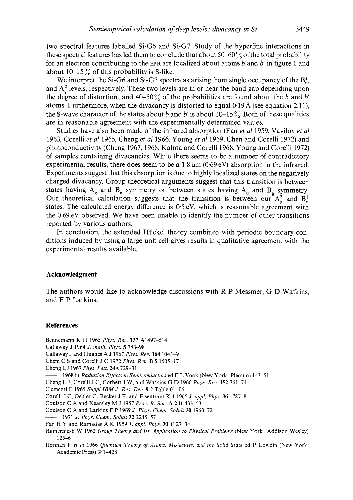two spectral features labelled Si-G6 and Si-G7. Study of the hyperfine interactions in these spectral features has led them to conclude that about 50–60% of the total probability for an electron contributing to the EPR are localized about atoms  $b$  and  $b'$  in figure 1 and about  $10-15\%$  of this probability is S-like.

We interpret the Si-G6 and Si-G7 spectra as arising from single occupancy of the  $B_0^1$ , and A<sub>2</sub> levels, respectively. These two levels are in or near the band gap depending upon the degree of distortion; and 40-50% of the probabilities are found about the *b* and *b'*  atoms. Furthermore, when the divacancy is distorted to equal  $0.19 \text{\AA}$  (see equation 2.11), the S-wave character of the states about *b* and *b'* is about 10-15 %. Both of these qualities are in reasonable agreement with the experimentally determined values.

Studies have also been made of the infrared absorption (Fan *et al* 1959, Vavilov *et al*  1963, Corelli *et a1* 1965, Cheng *et al* 1966, Young *et al* 1969, Chen and Corelli 1972) and photoconductivity (Cheng 1967, 1968, Kalma and Corelli 1968, Young and Corelli 1972) of samples containing divacancies. While there seems to be a number of contradictory experimental results, there does seem to be a  $1.8 \text{ nm}$  (0.69 eV) absorption in the infrared. Experiments suggest that this absorption is due to highly localized states on the negatively charged divacancy. Group theoretical arguments suggest that this transition is between states having  $A_g$  and  $B_u$  symmetry or between states having  $A_u$  and  $B_g$  symmetry. Our theoretical calculation suggests that the transition is between our  $A_0^2$  and  $B_0^1$ states. The calculated energy difference is *0.5* eV, which is reasonable agreement with the 0.69 eV observed. We have been unable to identify the number of other transitions reported by various authors.

In conclusion, the extended Hückel theory combined with periodic boundary conditions induced by using a large unit cell gives results in qualitative agreement with the experimental results available.

## **Acknowledgment**

The authors would like to acknowledge discussions with R P Messmer, G D Watkins, and F P Larkins.

#### **References**

- Bennemann K H 1965 *Phys. Reo.* **137** A1497-514
- Canaway J 1964 *J. math. Phys. 5* 783-98
- Callaway J and Hughes A J 1967 *Phys. Rev.* **164** 1043-9
- Chem C **S** and Corelli J C 1972 *Phys. Reu.* B *5* 1505-17

Cheng L J 1967 *Phys. Lett.* **24A** 729-31

1968 in *Radiation Effects in Semiconductors* ed F L Vook (New York: Plenum) 143-51

Cheng L J, Corelli J C, Corbett J W, and Watkins G D 1966 *Phys. Reo.* **152** 761-74

Clementi E 1965 *Suppl IBA4 J. Res. Deu.* **9** 2 Table 01-06

Corelli J C, Oehler G, Becker J F, and Eisentraut K J 1965 *J. appl. Phys.* **36** 1787-8

Coulson C **A** and Kearsley M J 1957 *Proc. R. Soc.* **A 241** 433-53

Coulson C A and Larkins F P 1969 *J. Phys. Chem. Solids* **30** 1963-72 \_\_

1971 *J. Phys. Chem. Solids* **32** 2245-51

- Fan H **Y** and Ramadas **A** K 1959 *J. appl. Phys.* **30** 1127-34
- Hamermesh W 1962 *Group Theory and Its Application to Physical Problems* (New York: Addison Wesley) 125-6
- Herman F *et ul* 1966 *Quantum Theory* of *Atoms, A1401ecuks, and the Solid Stute* ed P Lowdin (New York: Academic Press) 381-428